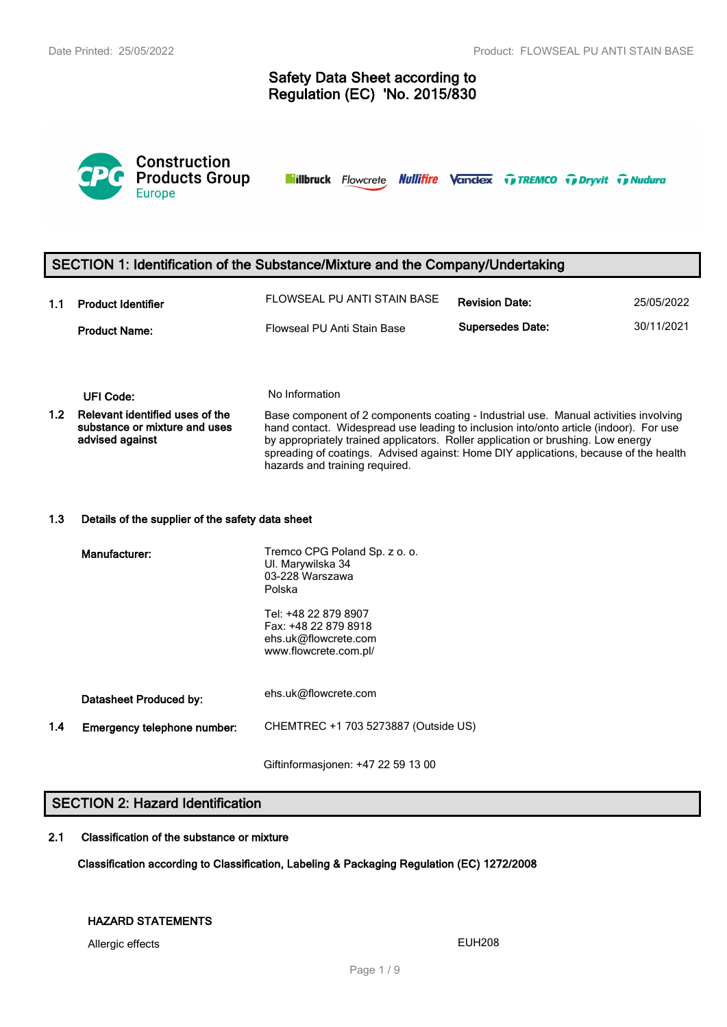# **Safety Data Sheet according to Regulation (EC) 'No. 2015/830**



**Nillbruck** Flowcrete **Nullifire Vandex TreMCO** Trenty Tradura

# **SECTION 1: Identification of the Substance/Mixture and the Company/Undertaking**

| 1.1 | <b>Product Identifier</b> | FLOWSEAL PU ANTI STAIN BASE | <b>Revision Date:</b>   | 25/05/2022 |
|-----|---------------------------|-----------------------------|-------------------------|------------|
|     | <b>Product Name:</b>      | Flowseal PU Anti Stain Base | <b>Supersedes Date:</b> | 30/11/2021 |

### **UFI Code:** No Information

**1.2 Relevant identified uses of the substance or mixture and uses advised against** Base component of 2 components coating - Industrial use. Manual activities involving hand contact. Widespread use leading to inclusion into/onto article (indoor). For use by appropriately trained applicators. Roller application or brushing. Low energy spreading of coatings. Advised against: Home DIY applications, because of the health hazards and training required.

### **1.3 Details of the supplier of the safety data sheet**

|     | Manufacturer:               | Tremco CPG Poland Sp. z o. o.<br>UI. Marywilska 34<br>03-228 Warszawa<br>Polska               |
|-----|-----------------------------|-----------------------------------------------------------------------------------------------|
|     |                             | Tel: +48 22 879 8907<br>Fax: +48 22 879 8918<br>ehs.uk@flowcrete.com<br>www.flowcrete.com.pl/ |
|     | Datasheet Produced by:      | ehs.uk@flowcrete.com                                                                          |
| 1.4 | Emergency telephone number: | CHEMTREC +1 703 5273887 (Outside US)                                                          |
|     |                             |                                                                                               |

Giftinformasjonen: +47 22 59 13 00

# **SECTION 2: Hazard Identification**

### **2.1 Classification of the substance or mixture**

**Classification according to Classification, Labeling & Packaging Regulation (EC) 1272/2008**

## **HAZARD STATEMENTS**

Allergic effects **EUH208**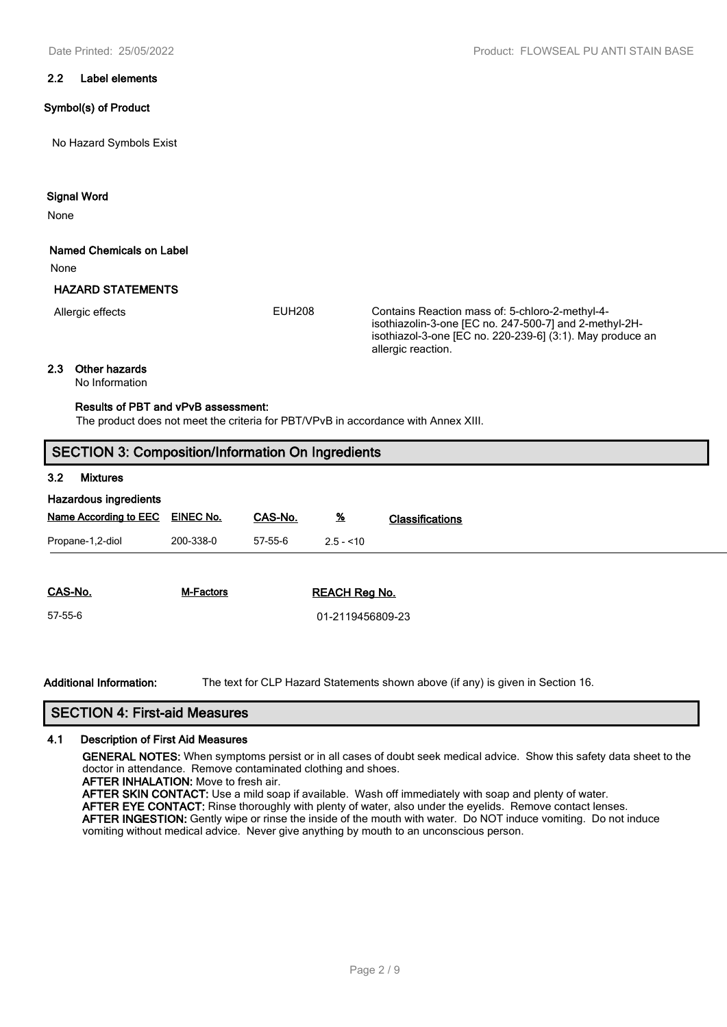### **2.2 Label elements**

### **Symbol(s) of Product**

No Hazard Symbols Exist

### **Signal Word**

None

### **Named Chemicals on Label**

None

## **HAZARD STATEMENTS**

Allergic effects

EUH208 Contains Reaction mass of: 5-chloro-2-methyl-4 isothiazolin-3-one [EC no. 247-500-7] and 2-methyl-2Hisothiazol-3-one [EC no. 220-239-6] (3:1). May produce an allergic reaction.

## **2.3 Other hazards**

No Information

## **Results of PBT and vPvB assessment:**

The product does not meet the criteria for PBT/VPvB in accordance with Annex XIII.

# **SECTION 3: Composition/Information On Ingredients**

### **3.2 Mixtures**

| Hazardous ingredients        |                  |         |                      |                        |
|------------------------------|------------------|---------|----------------------|------------------------|
| <b>Name According to EEC</b> | <b>EINEC No.</b> | CAS-No. | $\frac{96}{2}$       | <b>Classifications</b> |
| Propane-1,2-diol             | 200-338-0        | 57-55-6 | $2.5 - 10$           |                        |
|                              |                  |         |                      |                        |
| CAS-No.                      | <b>M-Factors</b> |         | <b>REACH Reg No.</b> |                        |
| 57-55-6                      |                  |         | 01-2119456809-23     |                        |
|                              |                  |         |                      |                        |

**Additional Information:** The text for CLP Hazard Statements shown above (if any) is given in Section 16.

# **SECTION 4: First-aid Measures**

### **4.1 Description of First Aid Measures**

**GENERAL NOTES:** When symptoms persist or in all cases of doubt seek medical advice. Show this safety data sheet to the doctor in attendance. Remove contaminated clothing and shoes.

**AFTER INHALATION:** Move to fresh air.

**AFTER SKIN CONTACT:** Use a mild soap if available. Wash off immediately with soap and plenty of water.

**AFTER EYE CONTACT:** Rinse thoroughly with plenty of water, also under the eyelids. Remove contact lenses. **AFTER INGESTION:** Gently wipe or rinse the inside of the mouth with water. Do NOT induce vomiting. Do not induce vomiting without medical advice. Never give anything by mouth to an unconscious person.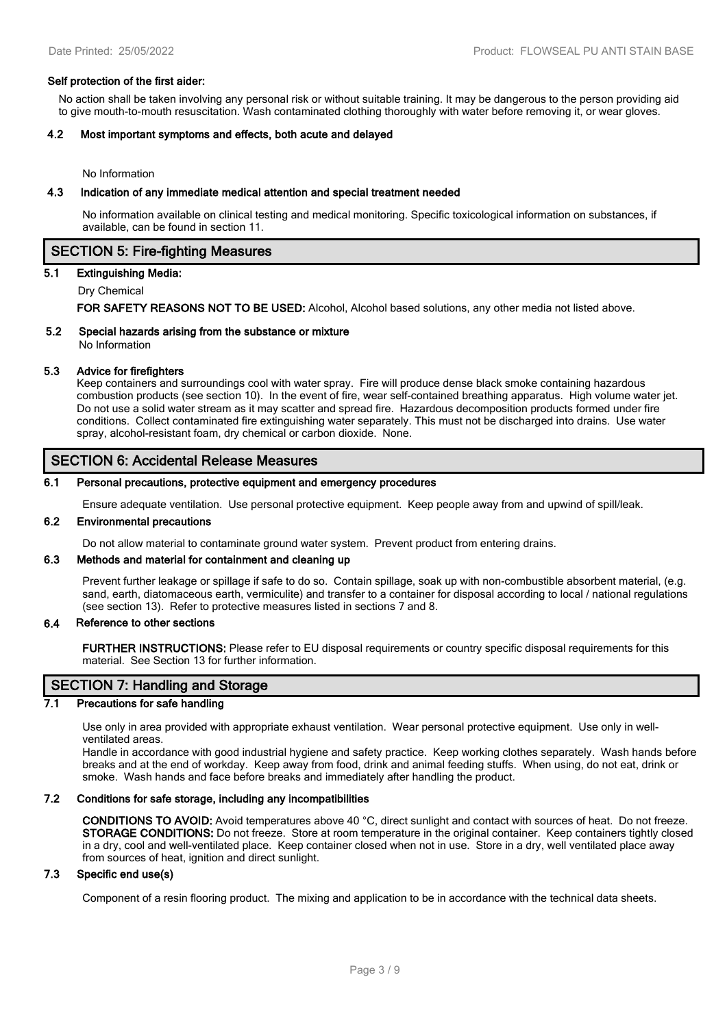#### **Self protection of the first aider:**

No action shall be taken involving any personal risk or without suitable training. It may be dangerous to the person providing aid to give mouth-to-mouth resuscitation. Wash contaminated clothing thoroughly with water before removing it, or wear gloves.

### **4.2 Most important symptoms and effects, both acute and delayed**

No Information

#### **4.3 Indication of any immediate medical attention and special treatment needed**

No information available on clinical testing and medical monitoring. Specific toxicological information on substances, if available, can be found in section 11.

# **SECTION 5: Fire-fighting Measures**

### **5.1 Extinguishing Media:**

Dry Chemical

**FOR SAFETY REASONS NOT TO BE USED:** Alcohol, Alcohol based solutions, any other media not listed above.

### **5.2 Special hazards arising from the substance or mixture**

No Information

# **5.3 Advice for firefighters**

Keep containers and surroundings cool with water spray. Fire will produce dense black smoke containing hazardous combustion products (see section 10). In the event of fire, wear self-contained breathing apparatus. High volume water jet. Do not use a solid water stream as it may scatter and spread fire. Hazardous decomposition products formed under fire conditions. Collect contaminated fire extinguishing water separately. This must not be discharged into drains. Use water spray, alcohol-resistant foam, dry chemical or carbon dioxide. None.

## **SECTION 6: Accidental Release Measures**

#### **6.1 Personal precautions, protective equipment and emergency procedures**

Ensure adequate ventilation. Use personal protective equipment. Keep people away from and upwind of spill/leak.

#### **6.2 Environmental precautions**

Do not allow material to contaminate ground water system. Prevent product from entering drains.

### **6.3 Methods and material for containment and cleaning up**

Prevent further leakage or spillage if safe to do so. Contain spillage, soak up with non-combustible absorbent material, (e.g. sand, earth, diatomaceous earth, vermiculite) and transfer to a container for disposal according to local / national regulations (see section 13). Refer to protective measures listed in sections 7 and 8.

#### **6.4 Reference to other sections**

**FURTHER INSTRUCTIONS:** Please refer to EU disposal requirements or country specific disposal requirements for this material. See Section 13 for further information.

# **SECTION 7: Handling and Storage**

### **7.1 Precautions for safe handling**

Use only in area provided with appropriate exhaust ventilation. Wear personal protective equipment. Use only in wellventilated areas.

Handle in accordance with good industrial hygiene and safety practice. Keep working clothes separately. Wash hands before breaks and at the end of workday. Keep away from food, drink and animal feeding stuffs. When using, do not eat, drink or smoke. Wash hands and face before breaks and immediately after handling the product.

### **7.2 Conditions for safe storage, including any incompatibilities**

**CONDITIONS TO AVOID:** Avoid temperatures above 40 °C, direct sunlight and contact with sources of heat. Do not freeze. **STORAGE CONDITIONS:** Do not freeze. Store at room temperature in the original container. Keep containers tightly closed in a dry, cool and well-ventilated place. Keep container closed when not in use. Store in a dry, well ventilated place away from sources of heat, ignition and direct sunlight.

### **7.3 Specific end use(s)**

Component of a resin flooring product. The mixing and application to be in accordance with the technical data sheets.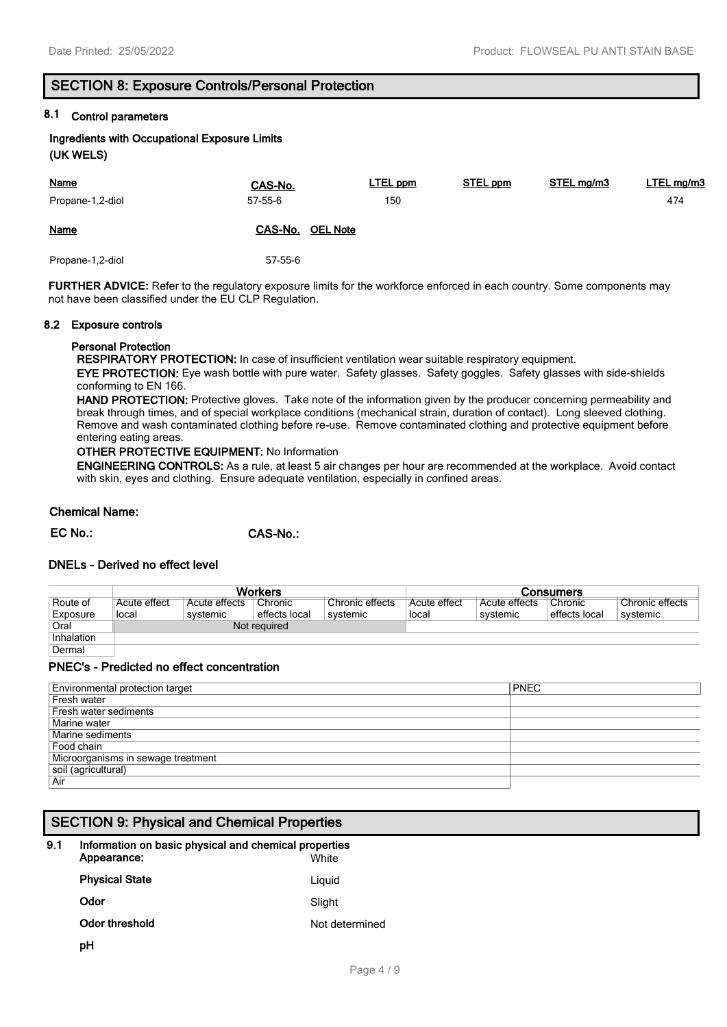# **SECTION 8: Exposure Controls/Personal Protection**

# **8.1 Control parameters**

**Ingredients with Occupational Exposure Limits (UK WELS)**

| <b>Name</b><br>Propane-1,2-diol | CAS-No.<br>57-55-6         | <b>LTEL ppm</b><br>150 | <b>STEL ppm</b> | STEL mg/m3 | LTEL mg/m3<br>474 |
|---------------------------------|----------------------------|------------------------|-----------------|------------|-------------------|
| <b>Name</b>                     | CAS-No.<br><b>OEL Note</b> |                        |                 |            |                   |
| Propane-1,2-diol                | 57-55-6                    |                        |                 |            |                   |

**FURTHER ADVICE:** Refer to the regulatory exposure limits for the workforce enforced in each country. Some components may not have been classified under the EU CLP Regulation.

### **8.2 Exposure controls**

## **Personal Protection**

**RESPIRATORY PROTECTION:** In case of insufficient ventilation wear suitable respiratory equipment.

**EYE PROTECTION:** Eye wash bottle with pure water. Safety glasses. Safety goggles. Safety glasses with side-shields conforming to EN 166.

**HAND PROTECTION:** Protective gloves. Take note of the information given by the producer concerning permeability and break through times, and of special workplace conditions (mechanical strain, duration of contact). Long sleeved clothing. Remove and wash contaminated clothing before re-use. Remove contaminated clothing and protective equipment before entering eating areas.

**OTHER PROTECTIVE EQUIPMENT:** No Information

**ENGINEERING CONTROLS:** As a rule, at least 5 air changes per hour are recommended at the workplace. Avoid contact with skin, eyes and clothing. Ensure adequate ventilation, especially in confined areas.

### **Chemical Name:**

**EC No.: CAS-No.:**

## **DNELs - Derived no effect level**

|            | Workers      |               |               |                 | Consumers    |               |               |                 |
|------------|--------------|---------------|---------------|-----------------|--------------|---------------|---------------|-----------------|
| Route of   | Acute effect | Acute effects | Chronic       | Chronic effects | Acute effect | Acute effects | Chronic       | Chronic effects |
| Exposure   | local        | systemic      | effects local | svstemic        | local        | svstemic      | effects local | systemic        |
| Oral       | Not required |               |               |                 |              |               |               |                 |
| Inhalation |              |               |               |                 |              |               |               |                 |
| Dermal     |              |               |               |                 |              |               |               |                 |

### **PNEC's - Predicted no effect concentration**

| <b>PNEC</b>         |  |  |
|---------------------|--|--|
|                     |  |  |
|                     |  |  |
|                     |  |  |
|                     |  |  |
| Food chain          |  |  |
|                     |  |  |
| soil (agricultural) |  |  |
|                     |  |  |
|                     |  |  |

# **SECTION 9: Physical and Chemical Properties**

| 9.1 | Information on basic physical and chemical properties |                |  |  |  |
|-----|-------------------------------------------------------|----------------|--|--|--|
|     | Appearance:                                           | White          |  |  |  |
|     | <b>Physical State</b>                                 | Liguid         |  |  |  |
|     | Odor                                                  | Slight         |  |  |  |
|     | Odor threshold                                        | Not determined |  |  |  |
|     |                                                       |                |  |  |  |

**pH**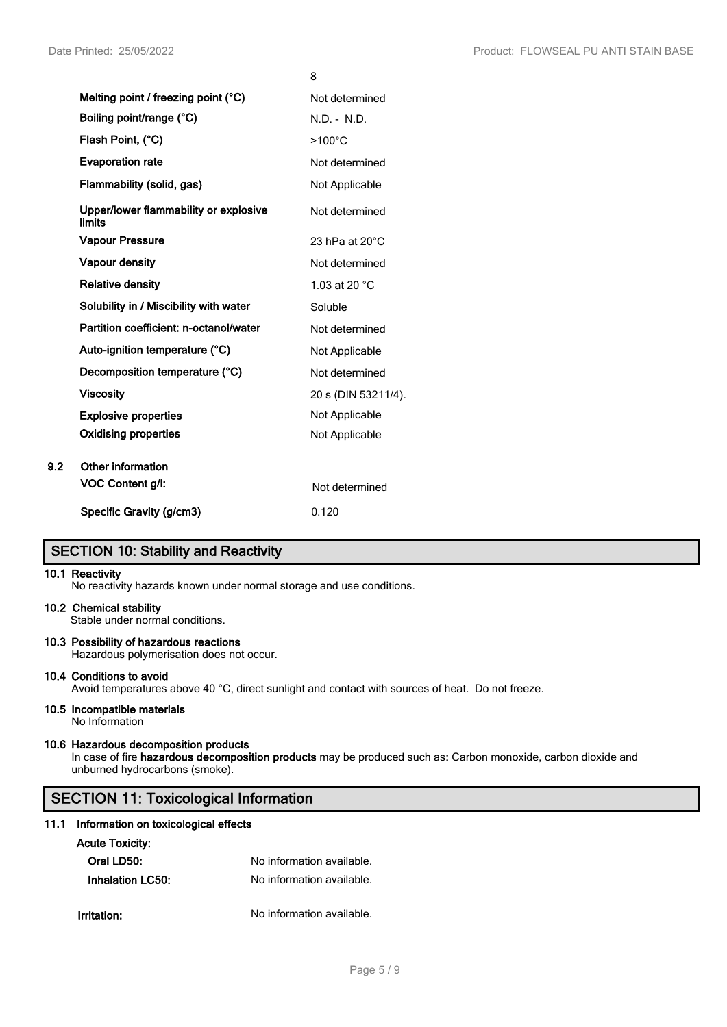|                                                 | ٥                        |
|-------------------------------------------------|--------------------------|
| Melting point / freezing point (°C)             | Not determined           |
| Boiling point/range (°C)                        | N.D. - N.D.              |
| Flash Point, (°C)                               | $>100^{\circ}$ C         |
| <b>Evaporation rate</b>                         | Not determined           |
| Flammability (solid, gas)                       | Not Applicable           |
| Upper/lower flammability or explosive<br>limits | Not determined           |
| <b>Vapour Pressure</b>                          | 23 hPa at $20^{\circ}$ C |
| <b>Vapour density</b>                           | Not determined           |
| <b>Relative density</b>                         | 1.03 at 20 °C            |
| Solubility in / Miscibility with water          | Soluble                  |
| Partition coefficient: n-octanol/water          | Not determined           |
| Auto-ignition temperature (°C)                  | Not Applicable           |
| Decomposition temperature (°C)                  | Not determined           |
| <b>Viscosity</b>                                | 20 s (DIN 53211/4).      |
| <b>Explosive properties</b>                     | Not Applicable           |
| <b>Oxidising properties</b>                     | Not Applicable           |
| Other information                               |                          |
| VOC Content g/l:                                | Not determined           |
| Specific Gravity (g/cm3)                        | 0.120                    |

 $\sim$ 

# **SECTION 10: Stability and Reactivity**

### **10.1 Reactivity**

**9.2** 

No reactivity hazards known under normal storage and use conditions.

### **10.2 Chemical stability**

Stable under normal conditions.

# **10.3 Possibility of hazardous reactions**

Hazardous polymerisation does not occur.

### **10.4 Conditions to avoid**

Avoid temperatures above 40 °C, direct sunlight and contact with sources of heat. Do not freeze.

# **10.5 Incompatible materials**

No Information

### **10.6 Hazardous decomposition products**

In case of fire **hazardous decomposition products** may be produced such as**:** Carbon monoxide, carbon dioxide and unburned hydrocarbons (smoke).

# **SECTION 11: Toxicological Information**

### **11.1 Information on toxicological effects**

### **Acute Toxicity:**

| Oral LD50:       | No information available. |
|------------------|---------------------------|
| Inhalation LC50: | No information available. |
|                  |                           |
| Irritation:      | No information available. |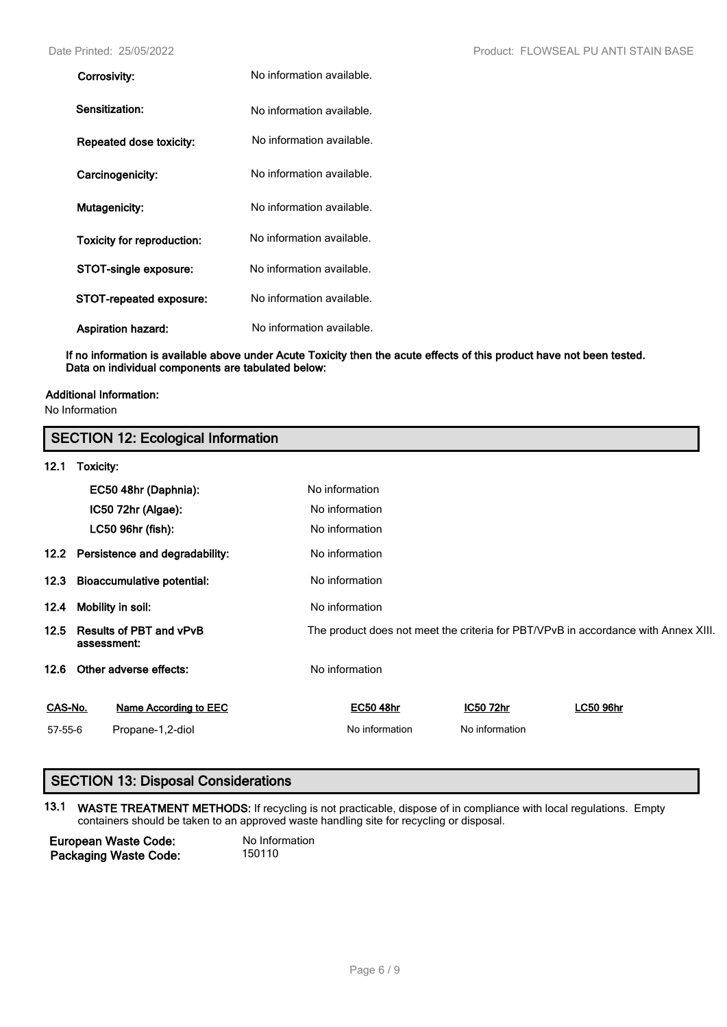| Corrosivity:               | No information available. |
|----------------------------|---------------------------|
| Sensitization:             | No information available. |
| Repeated dose toxicity:    | No information available. |
| Carcinogenicity:           | No information available. |
| Mutagenicity:              | No information available. |
| Toxicity for reproduction: | No information available. |
| STOT-single exposure:      | No information available. |
| STOT-repeated exposure:    | No information available. |
| <b>Aspiration hazard:</b>  | No information available. |

**If no information is available above under Acute Toxicity then the acute effects of this product have not been tested. Data on individual components are tabulated below:**

# **Additional Information:**

No Information

|         | <b>SECTION 12: Ecological Information</b>     |                              |                  |                |                                                                                    |  |  |  |
|---------|-----------------------------------------------|------------------------------|------------------|----------------|------------------------------------------------------------------------------------|--|--|--|
| 12.1    | Toxicity:                                     |                              |                  |                |                                                                                    |  |  |  |
|         | EC50 48hr (Daphnia):                          |                              | No information   |                |                                                                                    |  |  |  |
|         |                                               | IC50 72hr (Algae):           | No information   |                |                                                                                    |  |  |  |
|         |                                               | LC50 96hr (fish):            | No information   |                |                                                                                    |  |  |  |
|         | 12.2 Persistence and degradability:           |                              | No information   |                |                                                                                    |  |  |  |
| 12.3    | <b>Bioaccumulative potential:</b>             |                              | No information   |                |                                                                                    |  |  |  |
| 12.4    | Mobility in soil:                             |                              | No information   |                |                                                                                    |  |  |  |
| 12.5    | <b>Results of PBT and vPvB</b><br>assessment: |                              |                  |                | The product does not meet the criteria for PBT/VPvB in accordance with Annex XIII. |  |  |  |
| 12.6    |                                               | Other adverse effects:       | No information   |                |                                                                                    |  |  |  |
| CAS-No. |                                               | <b>Name According to EEC</b> | <b>EC50 48hr</b> | IC50 72hr      | <b>LC50 96hr</b>                                                                   |  |  |  |
| 57-55-6 |                                               | Propane-1,2-diol             | No information   | No information |                                                                                    |  |  |  |

# **SECTION 13: Disposal Considerations**

**13.1 WASTE TREATMENT METHODS:** If recycling is not practicable, dispose of in compliance with local regulations. Empty containers should be taken to an approved waste handling site for recycling or disposal.

**European Waste Code:** No Information<br> **Packaging Waste Code:** 150110 **Packaging Waste Code:**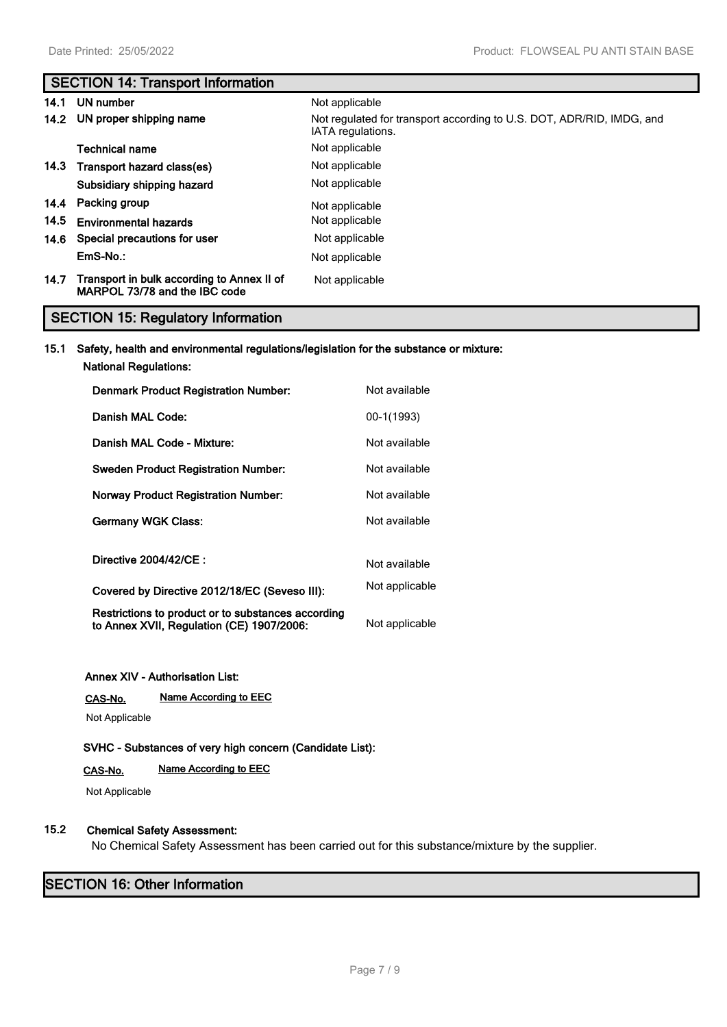# **SECTION 14: Transport Information**

| 14.1 | UN number                                                                   | Not applicable                                                                             |
|------|-----------------------------------------------------------------------------|--------------------------------------------------------------------------------------------|
|      | 14.2 UN proper shipping name                                                | Not regulated for transport according to U.S. DOT, ADR/RID, IMDG, and<br>IATA regulations. |
|      | Technical name                                                              | Not applicable                                                                             |
|      | 14.3 Transport hazard class(es)                                             | Not applicable                                                                             |
|      | Subsidiary shipping hazard                                                  | Not applicable                                                                             |
|      | 14.4 Packing group                                                          | Not applicable                                                                             |
| 14.5 | <b>Environmental hazards</b>                                                | Not applicable                                                                             |
|      | 14.6 Special precautions for user                                           | Not applicable                                                                             |
|      | EmS-No.:                                                                    | Not applicable                                                                             |
| 14.7 | Transport in bulk according to Annex II of<br>MARPOL 73/78 and the IBC code | Not applicable                                                                             |

# **SECTION 15: Regulatory Information**

### **15.1 Safety, health and environmental regulations/legislation for the substance or mixture:**

**National Regulations:**

| <b>Denmark Product Registration Number:</b>                                                     | Not available  |
|-------------------------------------------------------------------------------------------------|----------------|
| Danish MAL Code:                                                                                | 00-1(1993)     |
| Danish MAL Code - Mixture:                                                                      | Not available  |
| <b>Sweden Product Registration Number:</b>                                                      | Not available  |
| <b>Norway Product Registration Number:</b>                                                      | Not available  |
| <b>Germany WGK Class:</b>                                                                       | Not available  |
| Directive 2004/42/CE :                                                                          | Not available  |
| Covered by Directive 2012/18/EC (Seveso III):                                                   | Not applicable |
| Restrictions to product or to substances according<br>to Annex XVII, Regulation (CE) 1907/2006: | Not applicable |

### **Annex XIV - Authorisation List:**

**CAS-No. Name According to EEC**

Not Applicable

**SVHC - Substances of very high concern (Candidate List):**

# **CAS-No. Name According to EEC**

Not Applicable

# **15.2 Chemical Safety Assessment:**

No Chemical Safety Assessment has been carried out for this substance/mixture by the supplier.

# **SECTION 16: Other Information**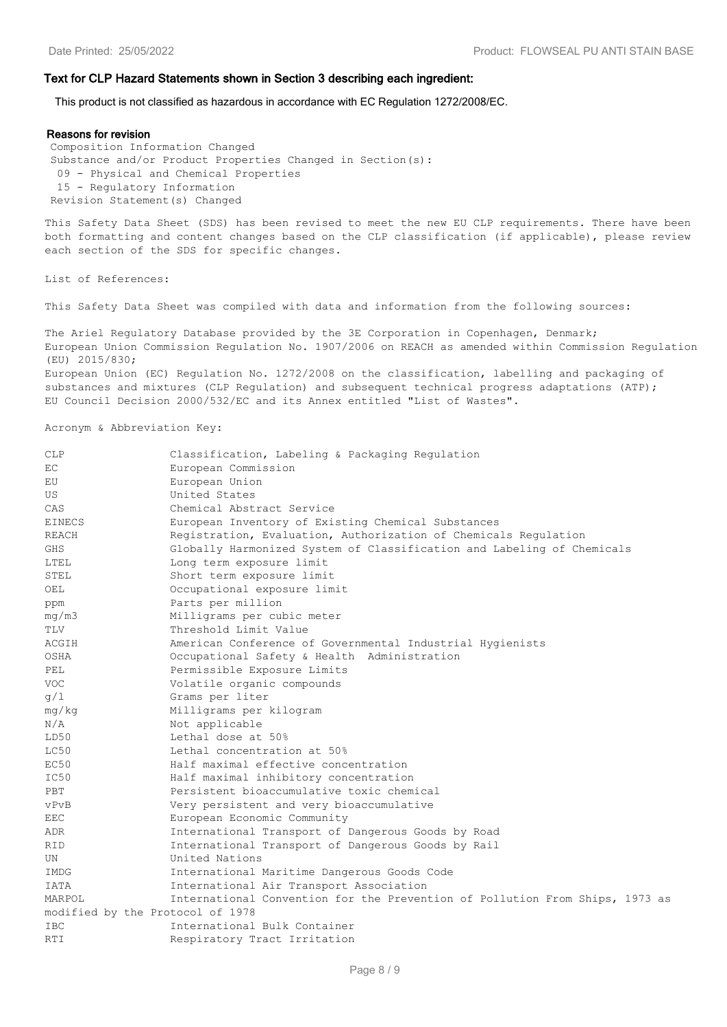### **Text for CLP Hazard Statements shown in Section 3 describing each ingredient:**

This product is not classified as hazardous in accordance with EC Regulation 1272/2008/EC.

#### **Reasons for revision**

Composition Information Changed Substance and/or Product Properties Changed in Section(s): 09 - Physical and Chemical Properties 15 - Regulatory Information Revision Statement(s) Changed

This Safety Data Sheet (SDS) has been revised to meet the new EU CLP requirements. There have been both formatting and content changes based on the CLP classification (if applicable), please review each section of the SDS for specific changes.

List of References:

This Safety Data Sheet was compiled with data and information from the following sources:

The Ariel Regulatory Database provided by the 3E Corporation in Copenhagen, Denmark; European Union Commission Regulation No. 1907/2006 on REACH as amended within Commission Regulation (EU) 2015/830; European Union (EC) Regulation No. 1272/2008 on the classification, labelling and packaging of substances and mixtures (CLP Requlation) and subsequent technical progress adaptations (ATP); EU Council Decision 2000/532/EC and its Annex entitled "List of Wastes".

Acronym & Abbreviation Key:

| CLP                              | Classification, Labeling & Packaging Regulation                              |
|----------------------------------|------------------------------------------------------------------------------|
| EC                               | European Commission                                                          |
| EU                               | European Union                                                               |
| US                               | United States                                                                |
| CAS                              | Chemical Abstract Service                                                    |
| EINECS                           | European Inventory of Existing Chemical Substances                           |
| REACH                            | Registration, Evaluation, Authorization of Chemicals Regulation              |
| <b>GHS</b>                       | Globally Harmonized System of Classification and Labeling of Chemicals       |
| LTEL                             | Long term exposure limit                                                     |
| STEL                             | Short term exposure limit                                                    |
| OEL                              | Occupational exposure limit                                                  |
| ppm                              | Parts per million                                                            |
| mq/m3                            | Milligrams per cubic meter                                                   |
| TLV                              | Threshold Limit Value                                                        |
| ACGIH                            | American Conference of Governmental Industrial Hygienists                    |
| OSHA                             | Occupational Safety & Health Administration                                  |
| PEL                              | Permissible Exposure Limits                                                  |
| <b>VOC</b>                       | Volatile organic compounds                                                   |
| g/1                              | Grams per liter                                                              |
| mg/kg                            | Milligrams per kilogram                                                      |
| N/A                              | Not applicable                                                               |
| LD50                             | Lethal dose at 50%                                                           |
| LC50                             | Lethal concentration at 50%                                                  |
| EC50                             | Half maximal effective concentration                                         |
| IC50                             | Half maximal inhibitory concentration                                        |
| PBT                              | Persistent bioaccumulative toxic chemical                                    |
| vPvB                             | Very persistent and very bioaccumulative                                     |
| EEC                              | European Economic Community                                                  |
| ADR                              | International Transport of Dangerous Goods by Road                           |
| <b>RID</b>                       | International Transport of Dangerous Goods by Rail                           |
| UN                               | United Nations                                                               |
| IMDG                             | International Maritime Dangerous Goods Code                                  |
| <b>IATA</b>                      | International Air Transport Association                                      |
| MARPOL                           | International Convention for the Prevention of Pollution From Ships, 1973 as |
| modified by the Protocol of 1978 |                                                                              |
| <b>IBC</b>                       | International Bulk Container                                                 |
| RTI                              | Respiratory Tract Irritation                                                 |
|                                  |                                                                              |